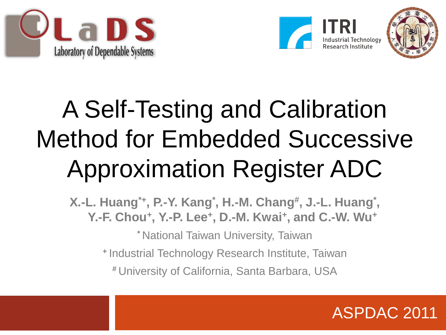





#### A Self-Testing and Calibration Method for Embedded Successive Approximation Register ADC

**X.-L. Huang\*+, P.-Y. Kang\* , H.-M. Chang# , J.-L. Huang\* , Y.-F. Chou<sup>+</sup> , Y.-P. Lee<sup>+</sup> , D.-M. Kwai<sup>+</sup> , and C.-W. Wu<sup>+</sup>**

**\*** National Taiwan University, Taiwan

**<sup>+</sup>**Industrial Technology Research Institute, Taiwan

**#** University of California, Santa Barbara, USA

ASPDAC 2011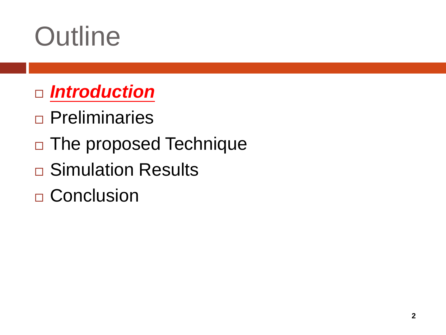## **Outline**

- *Introduction*
- **Preliminaries**
- □ The proposed Technique
- **□ Simulation Results**
- □ Conclusion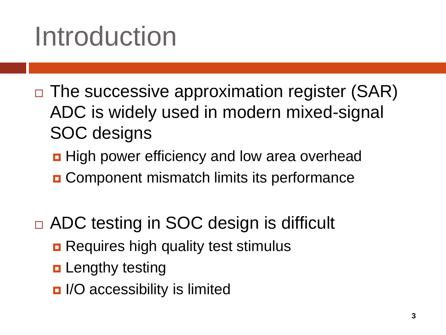## Introduction

- $\Box$  The successive approximation register (SAR) ADC is widely used in modern mixed-signal SOC designs
	- **High power efficiency and low area overhead**
	- **O** Component mismatch limits its performance
- □ ADC testing in SOC design is difficult
	- **Requires high quality test stimulus**
	- **<u>n</u>** Lengthy testing
	- I/O accessibility is limited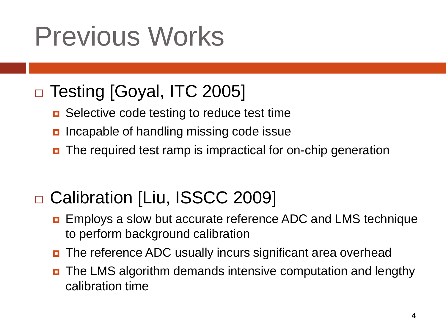## Previous Works

#### □ Testing [Goyal, ITC 2005]

- **□** Selective code testing to reduce test time
- **n** Incapable of handling missing code issue
- The required test ramp is impractical for on-chip generation

#### □ Calibration [Liu, ISSCC 2009]

- **EMPLO EMPLOYS** a slow but accurate reference ADC and LMS technique to perform background calibration
- The reference ADC usually incurs significant area overhead
- The LMS algorithm demands intensive computation and lengthy calibration time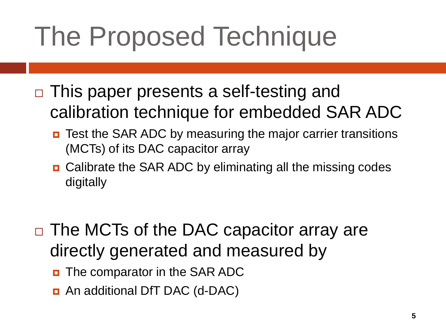## The Proposed Technique

- □ This paper presents a self-testing and calibration technique for embedded SAR ADC
	- **D** Test the SAR ADC by measuring the major carrier transitions (MCTs) of its DAC capacitor array
	- Calibrate the SAR ADC by eliminating all the missing codes digitally
- □ The MCTs of the DAC capacitor array are directly generated and measured by
	- **D** The comparator in the SAR ADC
	- An additional DfT DAC (d-DAC)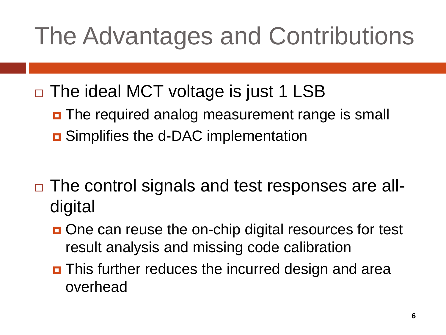#### The Advantages and Contributions

- $\Box$  The ideal MCT voltage is just 1 LSB
	- **D** The required analog measurement range is small **<u>n</u>** Simplifies the d-DAC implementation
- □ The control signals and test responses are alldigital
	- One can reuse the on-chip digital resources for test result analysis and missing code calibration
	- **D** This further reduces the incurred design and area overhead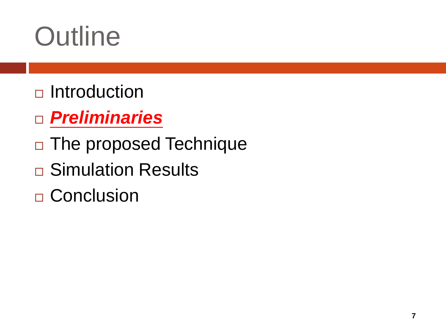## **Outline**

- $\Box$ Introduction
- *Preliminaries*
- □ The proposed Technique
- **□ Simulation Results**
- □ Conclusion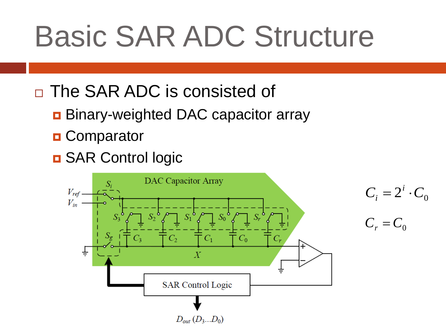# Basic SAR ADC Structure

- □ The SAR ADC is consisted of
	- **Binary-weighted DAC capacitor array**
	- **D** Comparator
	- **D** SAR Control logic

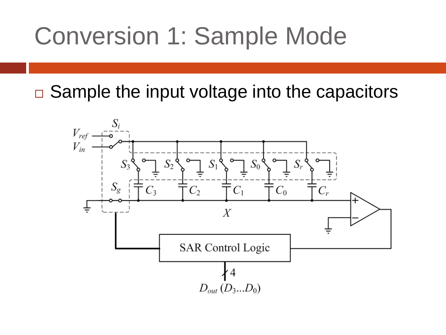#### Conversion 1: Sample Mode

 $\Box$  Sample the input voltage into the capacitors

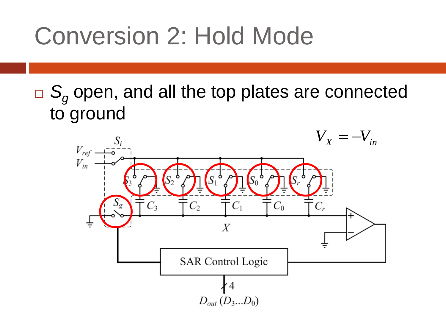#### Conversion 2: Hold Mode

□ S<sub>g</sub> open, and all the top plates are connected to ground

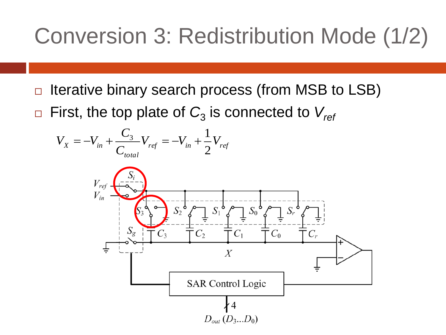#### Conversion 3: Redistribution Mode (1/2)

- $\Box$  Iterative binary search process (from MSB to LSB)
- $\Box$  First, the top plate of  $C_{3}$  is connected to  $V_{\mathit{ret}}$

$$
V_{X} = -V_{in} + \frac{C_{3}}{C_{total}}V_{ref} = -V_{in} + \frac{1}{2}V_{ref}
$$

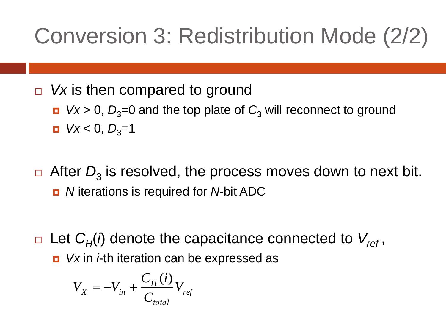#### Conversion 3: Redistribution Mode (2/2)

□ Vx is then compared to ground

- *Vx* > 0,  $D_3$ =0 and the top plate of  $C_3$  will reconnect to ground  $Vx < 0, D_3=1$
- $\Box$  After  $D_3$  is resolved, the process moves down to next bit. *N* iterations is required for *N*-bit ADC
- □ Let  $C_H(i)$  denote the capacitance connected to  $V_{ref}$ , **D** Vx in *i*-th iteration can be expressed as

$$
V_{X} = -V_{in} + \frac{C_{H}(i)}{C_{total}} V_{ref}
$$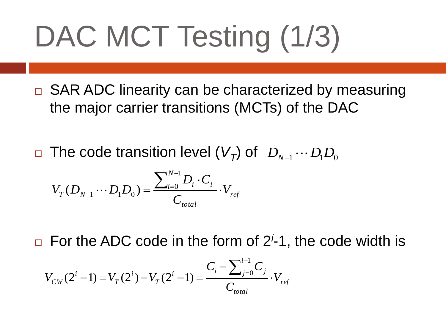# DAC MCT Testing (1/3)

□ SAR ADC linearity can be characterized by measuring the major carrier transitions (MCTs) of the DAC

 $\Box$  The code transition level  $(V_{\overline{I}})$  of  $D_{N-1}\cdots D_{1}D_{0}$ 

$$
V_T(D_{N-1}\cdots D_1D_0) = \frac{\sum_{i=0}^{N-1}D_i\cdot C_i}{C_{total}}\cdot V_{ref}
$$

□ For the ADC code in the form of 2<sup>*i*</sup>-1, the code width is

$$
V_{CW}(2^i - 1) = V_T(2^i) - V_T(2^i - 1) = \frac{C_i - \sum_{j=0}^{i-1} C_j}{C_{total}} \cdot V_{ref}
$$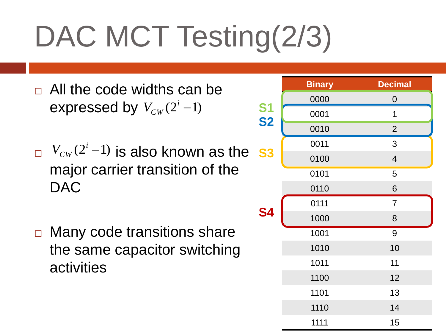# DAC MCT Testing(2/3)

- □ All the code widths can be expressed by  $V_{CW}(2^i-1)$
- $V_{CW}(2^i-1)$  is also known as the s3 major carrier transition of the DAC
- □ Many code transitions share the same capacitor switching activities

|           | <b>Binary</b> | <b>Decimal</b> |
|-----------|---------------|----------------|
|           | 0000          | 0              |
| S1<br>S2  | 0001          | 1              |
|           | 0010          | $\overline{2}$ |
| <b>S3</b> | 0011          | 3              |
|           | 0100          | $\overline{4}$ |
| <b>S4</b> | 0101          | 5              |
|           | 0110          | 6              |
|           | 0111          | $\overline{7}$ |
|           | 1000          | $\bf 8$        |
|           | 1001          | 9              |
|           | 1010          | 10             |
|           | 1011          | 11             |
|           | 1100          | 12             |
|           | 1101          | 13             |
|           | 1110          | 14             |
|           | 1111          | 15             |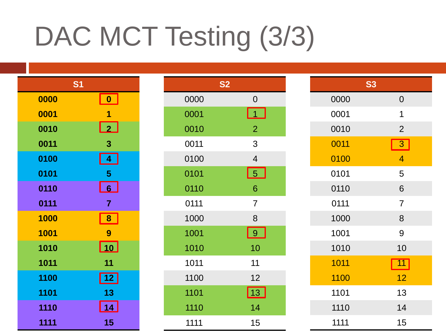## DAC MCT Testing (3/3)

| S <sub>1</sub> |                  |
|----------------|------------------|
| 0000           | $\boldsymbol{0}$ |
| 0001           | 1                |
| 0010           | $\vert$ 2        |
| 0011           | 3                |
| 0100           | 4                |
| 0101           | 5                |
| 0110           | 6                |
| 0111           | $\overline{7}$   |
| 1000           | 8                |
| 1001           | 9                |
| 1010           | 10               |
| 1011           | 11               |
| 1100           | $\overline{12}$  |
| 1101           | 13               |
| 1110           | 14               |
| 1111           | 15               |

| <b>S2</b> |                          |  |
|-----------|--------------------------|--|
| 0000      | $\overline{0}$           |  |
| 0001      | $\overline{1}$           |  |
| 0010      | $\overline{2}$           |  |
| 0011      | 3                        |  |
| 0100      | $\overline{\mathcal{A}}$ |  |
| 0101      | 5                        |  |
| 0110      | 6                        |  |
| 0111      | $\overline{7}$           |  |
| 1000      | 8                        |  |
| 1001      | <u>  9</u>               |  |
| 1010      | 10                       |  |
| 1011      | 11                       |  |
| 1100      | 12                       |  |
| 1101      | <b>13</b>                |  |
| 1110      | 14                       |  |
| 1111      | 15                       |  |

| <b>S3</b> |                         |  |
|-----------|-------------------------|--|
| 0000      | $\mathbf 0$             |  |
| 0001      | 1                       |  |
| 0010      | $\overline{2}$          |  |
| 0011      | $\overline{\mathbf{3}}$ |  |
| 0100      | $\overline{4}$          |  |
| 0101      | 5                       |  |
| 0110      | 6                       |  |
| 0111      | $\overline{7}$          |  |
| 1000      | 8                       |  |
| 1001      | 9                       |  |
| 1010      | 10                      |  |
| 1011      | $\overline{11}$         |  |
| 1100      | 12                      |  |
| 1101      | 13                      |  |
| 1110      | 14                      |  |
| 1111      | 15                      |  |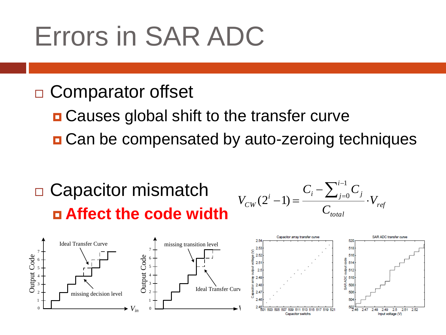#### Errors in SAR ADC

#### □ Comparator offset

**□ Causes global shift to the transfer curve** 

■ Can be compensated by auto-zeroing techniques

#### □ Capacitor mismatch **Affect the code width**



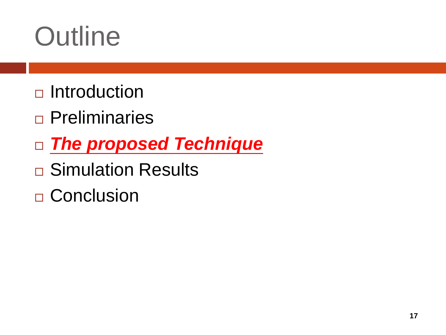## **Outline**

- $\Box$ Introduction
- **Preliminaries**
- *The proposed Technique*
- **□ Simulation Results**
- □ Conclusion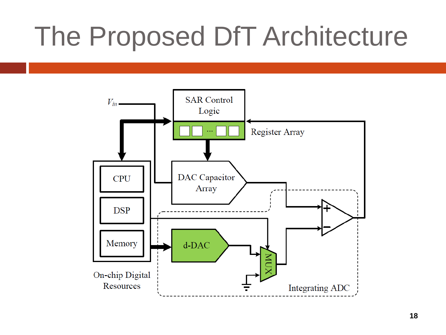### The Proposed DfT Architecture

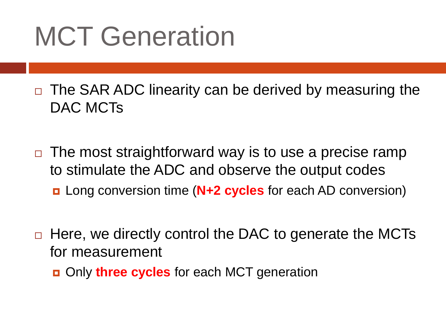### MCT Generation

 $\Box$  The SAR ADC linearity can be derived by measuring the DAC MCTs

- $\Box$  The most straightforward way is to use a precise ramp to stimulate the ADC and observe the output codes
	- Long conversion time (**N+2 cycles** for each AD conversion)
- $\Box$  Here, we directly control the DAC to generate the MCTs for measurement
	- Only **three cycles** for each MCT generation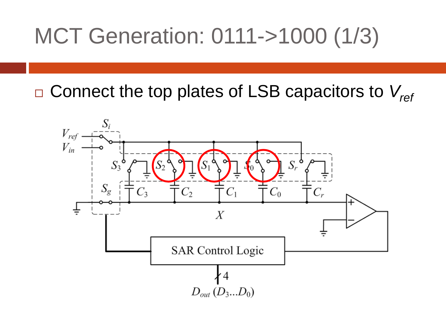#### MCT Generation: 0111->1000 (1/3)

Connect the top plates of LSB capacitors to *Vref*

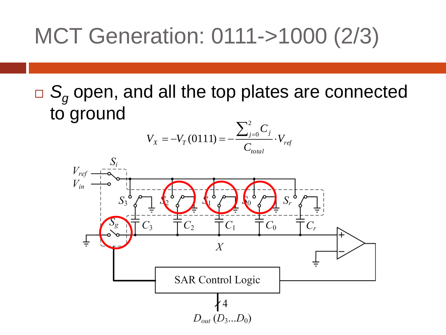#### MCT Generation: 0111->1000 (2/3)

□ S<sub>*g*</sub> open, and all the top plates are connected to ground



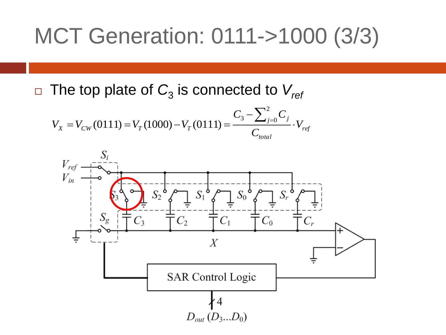#### MCT Generation: 0111->1000 (3/3)

 $\Box$  The top plate of  $C_{3}$  is connected to  $V_{\mathit{ret}}$ 

$$
V_{X} = V_{CW}(0111) = V_{T}(1000) - V_{T}(0111) = \frac{C_{3} - \sum_{j=0}^{2} C_{j}}{C_{total}} \cdot V_{ref}
$$

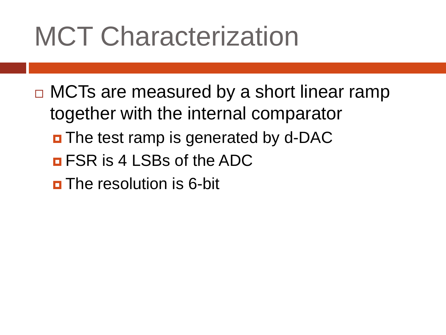### MCT Characterization

- $\Box$  MCTs are measured by a short linear ramp together with the internal comparator
	- **D** The test ramp is generated by d-DAC
	- **<u>n</u>** FSR is 4 LSBs of the ADC
	- $\blacksquare$  The resolution is 6-bit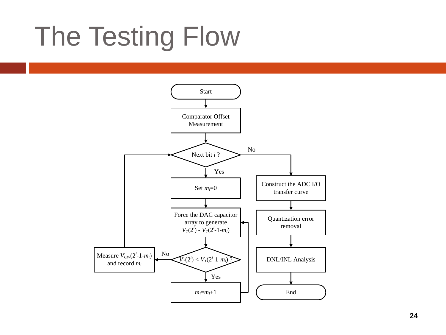## The Testing Flow

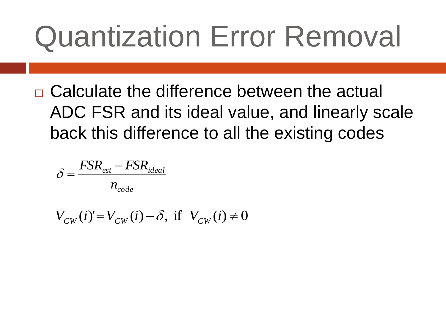# Quantization Error Removal

□ Calculate the difference between the actual ADC FSR and its ideal value, and linearly scale back this difference to all the existing codes

$$
\delta = \frac{FSR_{est} - FSR_{ideal}}{n_{code}}
$$

 $V_{CW}(i) = V_{CW}(i) - \delta$ , if  $V_{CW}(i) \neq 0$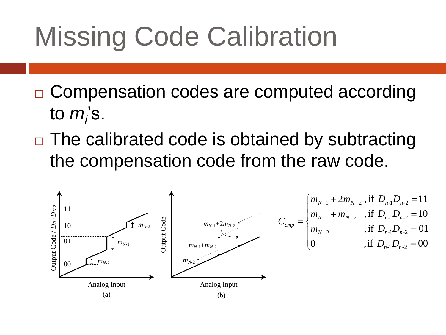## Missing Code Calibration

- □ Compensation codes are computed according to *m*<sub>*i*</sub>'s.
- $\Box$  The calibrated code is obtained by subtracting the compensation code from the raw code.

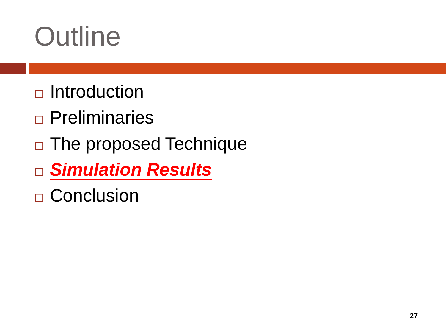## **Outline**

- $\Box$ Introduction
- Preliminaries
- □ The proposed Technique
- *Simulation Results*
- □ Conclusion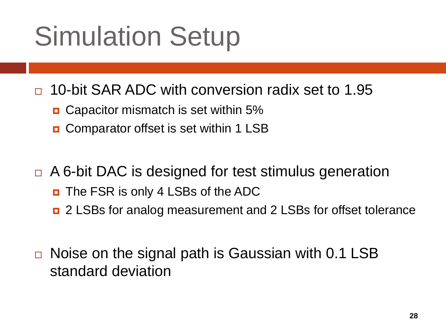## Simulation Setup

□ 10-bit SAR ADC with conversion radix set to 1.95

- **D** Capacitor mismatch is set within 5%
- **D** Comparator offset is set within 1 LSB
- □ A 6-bit DAC is designed for test stimulus generation
	- The FSR is only 4 LSBs of the ADC
	- 2 LSBs for analog measurement and 2 LSBs for offset tolerance
- $\Box$  Noise on the signal path is Gaussian with 0.1 LSB standard deviation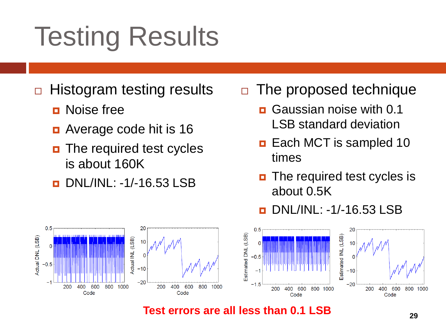## Testing Results

- $\Box$  Histogram testing results
	- **D** Noise free
	- Average code hit is 16
	- **n** The required test cycles is about 160K
	- DNL/INL: -1/-16.53 LSB

#### $\Box$  The proposed technique

- Gaussian noise with 0.1 LSB standard deviation
- **Each MCT is sampled 10** times
- **n** The required test cycles is about 0.5K

DNL/INL: -1/-16.53 LSB



**Test errors are all less than 0.1 LSB**  $_{29}$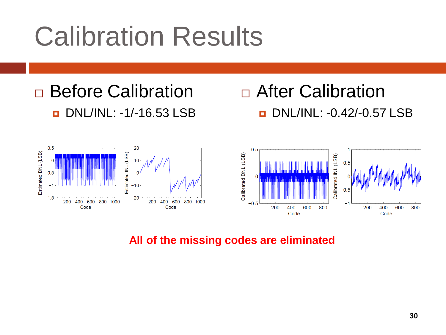## Calibration Results

#### □ Before Calibration DNL/INL: -1/-16.53 LSB

#### □ After Calibration **D** DNL/INL: -0.42/-0.57 LSB



#### **All of the missing codes are eliminated**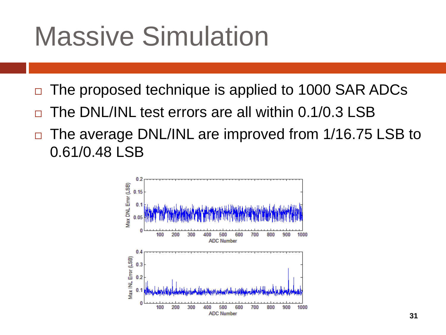### Massive Simulation

- The proposed technique is applied to 1000 SAR ADCs
- The DNL/INL test errors are all within 0.1/0.3 LSB
- □ The average DNL/INL are improved from 1/16.75 LSB to 0.61/0.48 LSB

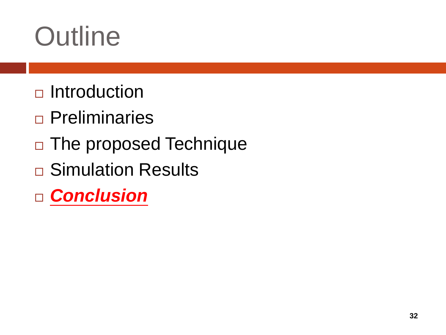## **Outline**

- $\Box$ Introduction
- **Preliminaries**
- □ The proposed Technique
- **□ Simulation Results**
- *Conclusion*